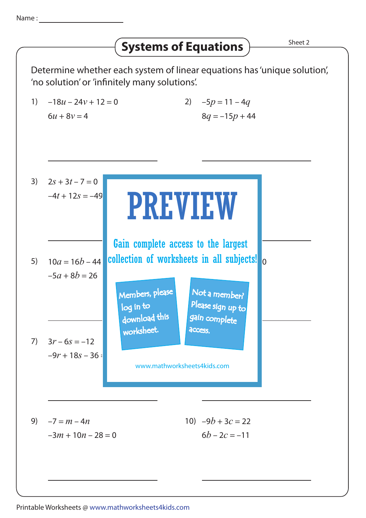